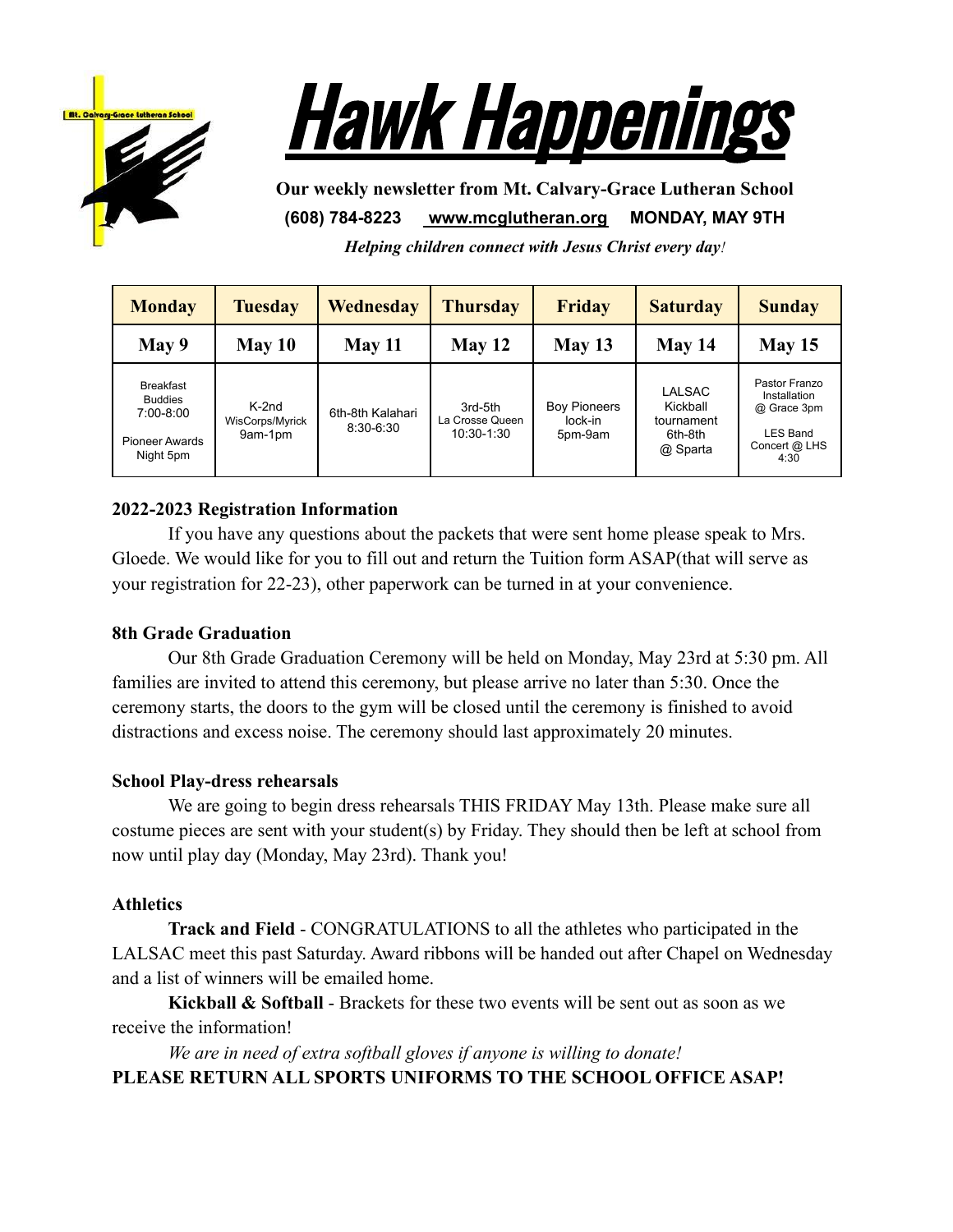



**Our weekly newsletter from Mt. Calvary-Grace Lutheran School (608) 784-8223 [www.mcglutheran.org](http://www.mcglutheran.org/) MONDAY, MAY 9TH**

*Helping children connect with Jesus Christ every day!*

| <b>Monday</b>                                                                           | <b>Tuesday</b>                        | Wednesday                     | <b>Thursday</b>                          | <b>Friday</b>                             | <b>Saturday</b>                                                | <b>Sunday</b>                                                                     |
|-----------------------------------------------------------------------------------------|---------------------------------------|-------------------------------|------------------------------------------|-------------------------------------------|----------------------------------------------------------------|-----------------------------------------------------------------------------------|
| May 9                                                                                   | May 10                                | May 11                        | May 12                                   | May 13                                    | May 14                                                         | May 15                                                                            |
| <b>Breakfast</b><br><b>Buddies</b><br>$7:00-8:00$<br><b>Pioneer Awards</b><br>Night 5pm | $K-2nd$<br>WisCorps/Myrick<br>9am-1pm | 6th-8th Kalahari<br>8:30-6:30 | 3rd-5th<br>La Crosse Queen<br>10:30-1:30 | <b>Boy Pioneers</b><br>lock-in<br>5pm-9am | <b>LALSAC</b><br>Kickball<br>tournament<br>6th-8th<br>@ Sparta | Pastor Franzo<br>Installation<br>@ Grace 3pm<br>LES Band<br>Concert @ LHS<br>4:30 |

# **2022-2023 Registration Information**

If you have any questions about the packets that were sent home please speak to Mrs. Gloede. We would like for you to fill out and return the Tuition form ASAP(that will serve as your registration for 22-23), other paperwork can be turned in at your convenience.

## **8th Grade Graduation**

Our 8th Grade Graduation Ceremony will be held on Monday, May 23rd at 5:30 pm. All families are invited to attend this ceremony, but please arrive no later than 5:30. Once the ceremony starts, the doors to the gym will be closed until the ceremony is finished to avoid distractions and excess noise. The ceremony should last approximately 20 minutes.

## **School Play-dress rehearsals**

We are going to begin dress rehearsals THIS FRIDAY May 13th. Please make sure all costume pieces are sent with your student(s) by Friday. They should then be left at school from now until play day (Monday, May 23rd). Thank you!

### **Athletics**

**Track and Field** - CONGRATULATIONS to all the athletes who participated in the LALSAC meet this past Saturday. Award ribbons will be handed out after Chapel on Wednesday and a list of winners will be emailed home.

**Kickball & Softball** - Brackets for these two events will be sent out as soon as we receive the information!

*We are in need of extra softball gloves if anyone is willing to donate!* **PLEASE RETURN ALL SPORTS UNIFORMS TO THE SCHOOL OFFICE ASAP!**